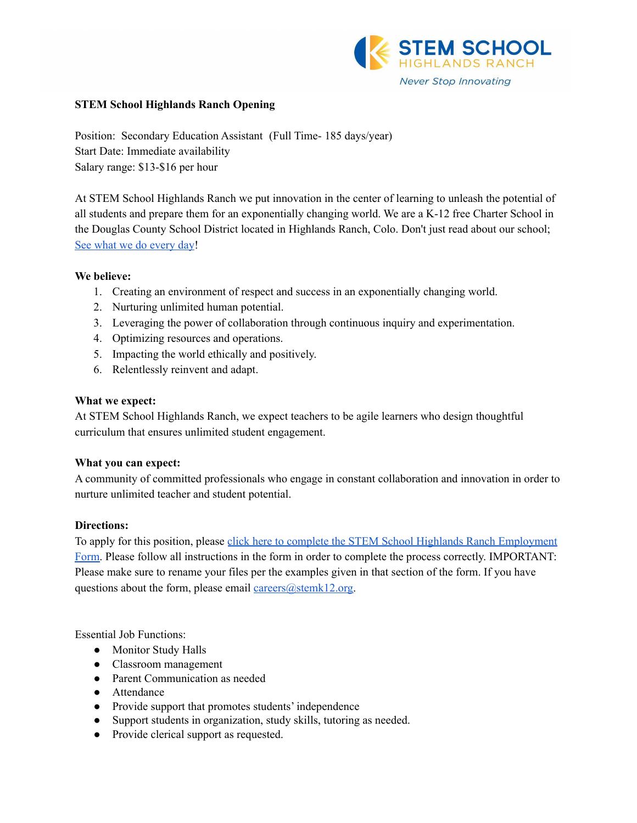

## **STEM School Highlands Ranch Opening**

Position: Secondary Education Assistant (Full Time- 185 days/year) Start Date: Immediate availability Salary range: \$13-\$16 per hour

At STEM School Highlands Ranch we put innovation in the center of learning to unleash the potential of all students and prepare them for an exponentially changing world. We are a K-12 free Charter School in the Douglas County School District located in Highlands Ranch, Colo. Don't just read about our school; See what we do [every](https://www.youtube.com/channel/UCEjas5mnML_7D6bnjE6cBXQ) day!

### **We believe:**

- 1. Creating an environment of respect and success in an exponentially changing world.
- 2. Nurturing unlimited human potential.
- 3. Leveraging the power of collaboration through continuous inquiry and experimentation.
- 4. Optimizing resources and operations.
- 5. Impacting the world ethically and positively.
- 6. Relentlessly reinvent and adapt.

### **What we expect:**

At STEM School Highlands Ranch, we expect teachers to be agile learners who design thoughtful curriculum that ensures unlimited student engagement.

# **What you can expect:**

A community of committed professionals who engage in constant collaboration and innovation in order to nurture unlimited teacher and student potential.

# **Directions:**

To apply for this position, please click here to complete the STEM School Highlands Ranch [Employment](https://docs.google.com/forms/d/e/1FAIpQLSfix8N5Y4r8UN-EoNntuUI_3ZGfalCIW_KiKAja-s9jkUit8g/viewform?usp=sf_link) [Form.](https://docs.google.com/forms/d/e/1FAIpQLSfix8N5Y4r8UN-EoNntuUI_3ZGfalCIW_KiKAja-s9jkUit8g/viewform?usp=sf_link) Please follow all instructions in the form in order to complete the process correctly. IMPORTANT: Please make sure to rename your files per the examples given in that section of the form. If you have questions about the form, please email [careers@stemk12.org.](mailto:careers@stemk12.org)

Essential Job Functions:

- Monitor Study Halls
- Classroom management
- Parent Communication as needed
- Attendance
- Provide support that promotes students' independence
- Support students in organization, study skills, tutoring as needed.
- Provide clerical support as requested.